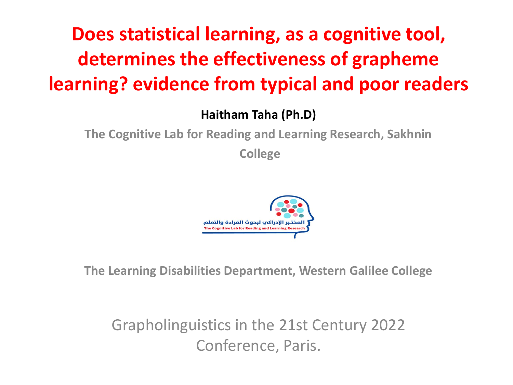### **Does statistical learning, as a cognitive tool, determines the effectiveness of grapheme learning? evidence from typical and poor readers**

**Haitham Taha (Ph.D)**

**The Cognitive Lab for Reading and Learning Research, Sakhnin**

**College**



**The Learning Disabilities Department, Western Galilee College**

Grapholinguistics in the 21st Century 2022 Conference, Paris.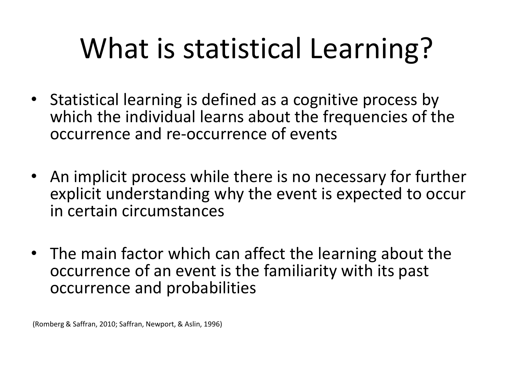# What is statistical Learning?

- Statistical learning is defined as a cognitive process by which the individual learns about the frequencies of the occurrence and re-occurrence of events
- An implicit process while there is no necessary for further explicit understanding why the event is expected to occur in certain circumstances
- The main factor which can affect the learning about the occurrence of an event is the familiarity with its past occurrence and probabilities

(Romberg & Saffran, 2010; Saffran, Newport, & Aslin, 1996)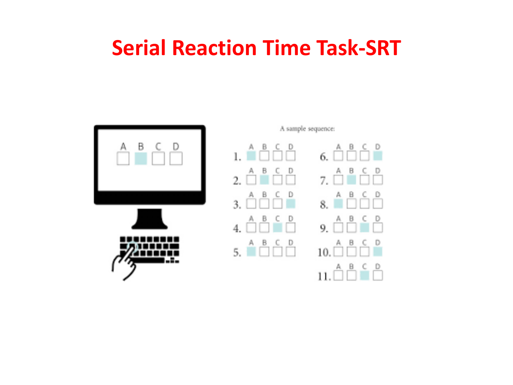#### **Serial Reaction Time Task-SRT**





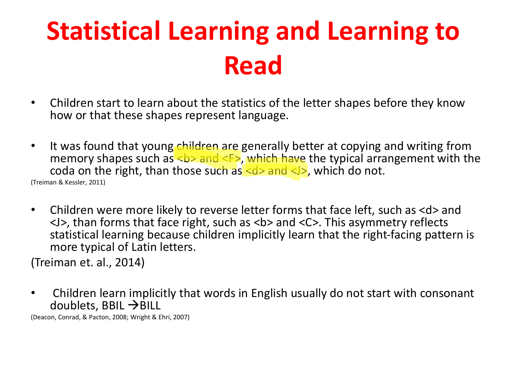## **Statistical Learning and Learning to Read**

- Children start to learn about the statistics of the letter shapes before they know how or that these shapes represent language.
- It was found that young children are generally better at copying and writing from memory shapes such as  **and**  $**4**$ **, which have the typical arrangement with the** coda on the right, than those such as  $\langle d \rangle$  and  $\langle J \rangle$ , which do not. (Treiman & Kessler, 2011)
- Children were more likely to reverse letter forms that face left, such as <d> and <J>, than forms that face right, such as <b> and <C>. This asymmetry reflects statistical learning because children implicitly learn that the right-facing pattern is more typical of Latin letters.

(Treiman et. al., 2014)

• Children learn implicitly that words in English usually do not start with consonant doublets, BBIL  $\rightarrow$  BILL

(Deacon, Conrad, & Pacton, 2008; Wright & Ehri, 2007)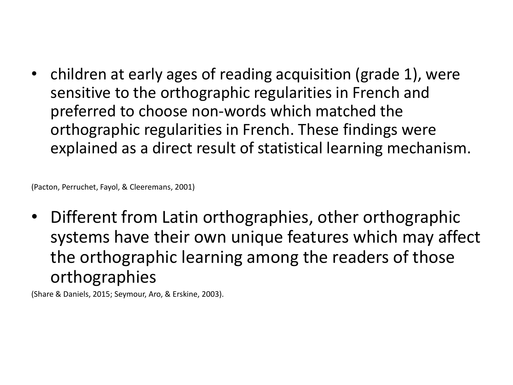• children at early ages of reading acquisition (grade 1), were sensitive to the orthographic regularities in French and preferred to choose non-words which matched the orthographic regularities in French. These findings were explained as a direct result of statistical learning mechanism.

(Pacton, Perruchet, Fayol, & Cleeremans, 2001)

• Different from Latin orthographies, other orthographic systems have their own unique features which may affect the orthographic learning among the readers of those orthographies

(Share & Daniels, 2015; Seymour, Aro, & Erskine, 2003).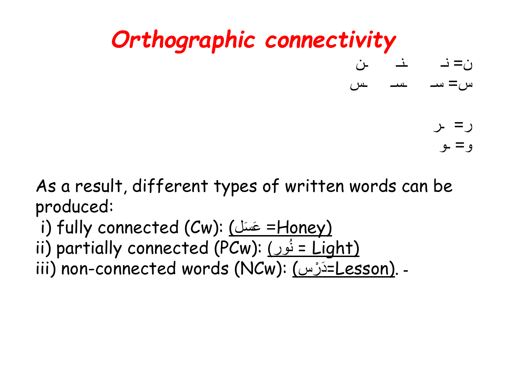

As a result, different types of written words can be produced:

i) fully connected (Cw): (عَسَلَ = Honey) ii) partially connected (PCw): <u>(فرد</u> = Light) و<br>⊣ iii) non-connected words (NCw): (دَرْسَ (Lesson). -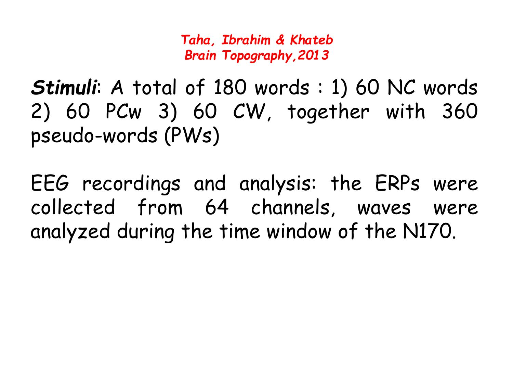*Taha, Ibrahim & Khateb Brain Topography,2013*

*Stimuli*: A total of 180 words : 1) 60 NC words 2) 60 PCw 3) 60 CW, together with 360 pseudo-words (PWs)

EEG recordings and analysis: the ERPs were collected from 64 channels, waves were analyzed during the time window of the N170.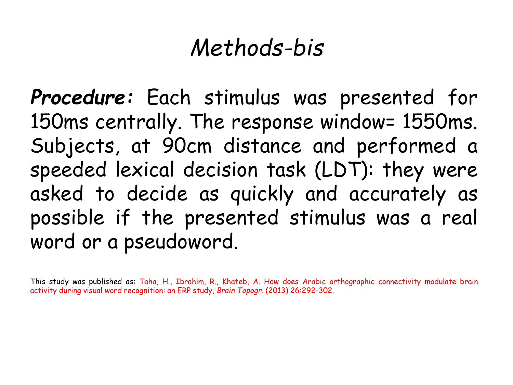### *Methods-bis*

*Procedure:* Each stimulus was presented for 150ms centrally. The response window= 1550ms. Subjects, at 90cm distance and performed a speeded lexical decision task (LDT): they were asked to decide as quickly and accurately as possible if the presented stimulus was a real word or a pseudoword.

This study was published as: Taha, H., Ibrahim, R., Khateb, A. How does Arabic orthographic connectivity modulate brain activity during visual word recognition: an ERP study, *Brain Topogr*. (2013) 26:292-302.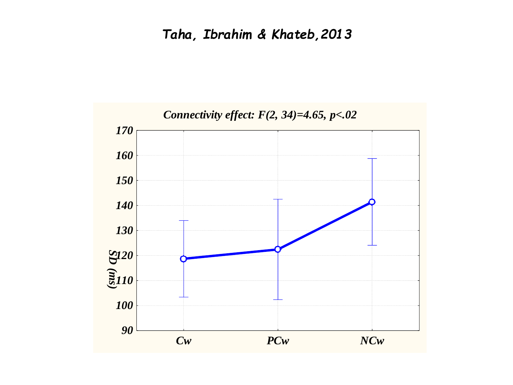#### *Taha, Ibrahim & Khateb,2013*

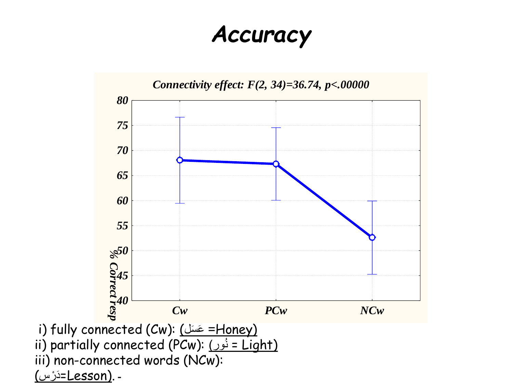### *Accuracy*

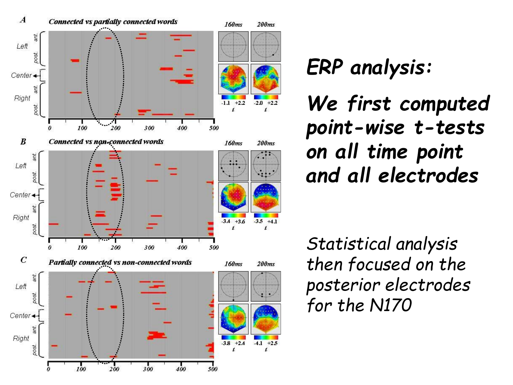

*ERP analysis: We first computed point-wise t-tests on all time point and all electrodes*

*Statistical analysis then focused on the posterior electrodes for the N170*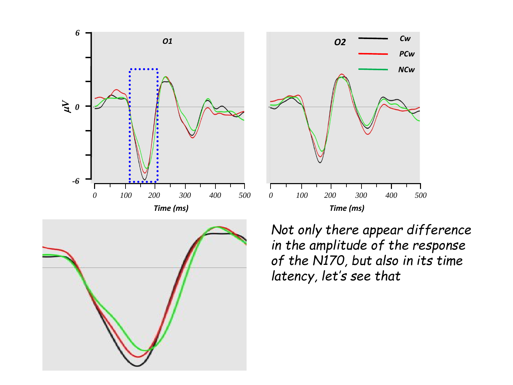





*Not only there appear difference in the amplitude of the response of the N170, but also in its time latency, let's see that*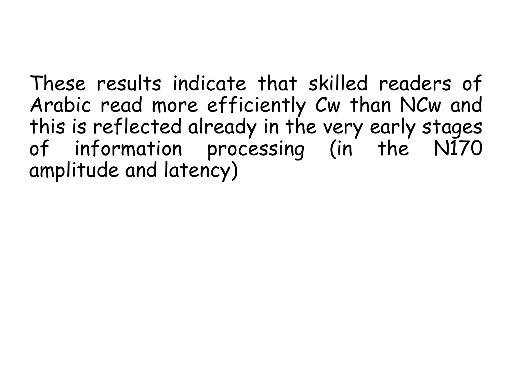These results indicate that skilled readers of Arabic read more efficiently Cw than NCw and this is reflected already in the very early stages of information processing (in the N170 amplitude and latency)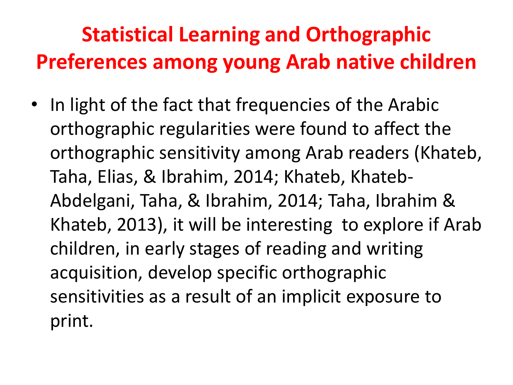### **Statistical Learning and Orthographic Preferences among young Arab native children**

• In light of the fact that frequencies of the Arabic orthographic regularities were found to affect the orthographic sensitivity among Arab readers (Khateb, Taha, Elias, & Ibrahim, 2014; Khateb, Khateb-Abdelgani, Taha, & Ibrahim, 2014; Taha, Ibrahim & Khateb, 2013), it will be interesting to explore if Arab children, in early stages of reading and writing acquisition, develop specific orthographic sensitivities as a result of an implicit exposure to print.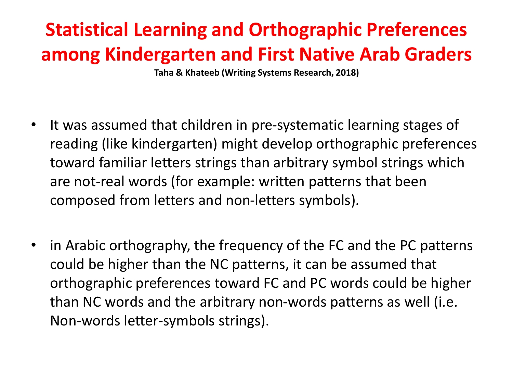### **Statistical Learning and Orthographic Preferences among Kindergarten and First Native Arab Graders**

**Taha & Khateeb (Writing Systems Research, 2018)**

- It was assumed that children in pre-systematic learning stages of reading (like kindergarten) might develop orthographic preferences toward familiar letters strings than arbitrary symbol strings which are not-real words (for example: written patterns that been composed from letters and non-letters symbols).
- in Arabic orthography, the frequency of the FC and the PC patterns could be higher than the NC patterns, it can be assumed that orthographic preferences toward FC and PC words could be higher than NC words and the arbitrary non-words patterns as well (i.e. Non-words letter-symbols strings).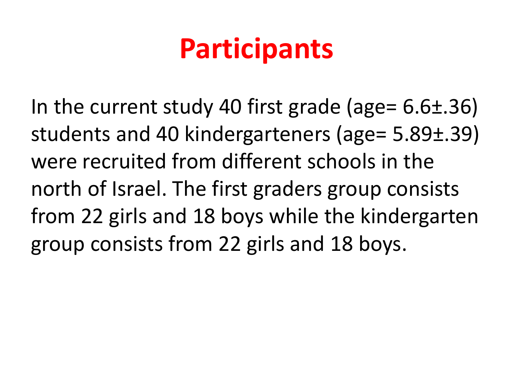## **Participants**

In the current study 40 first grade (age= 6.6±.36) students and 40 kindergarteners (age= 5.89±.39) were recruited from different schools in the north of Israel. The first graders group consists from 22 girls and 18 boys while the kindergarten group consists from 22 girls and 18 boys.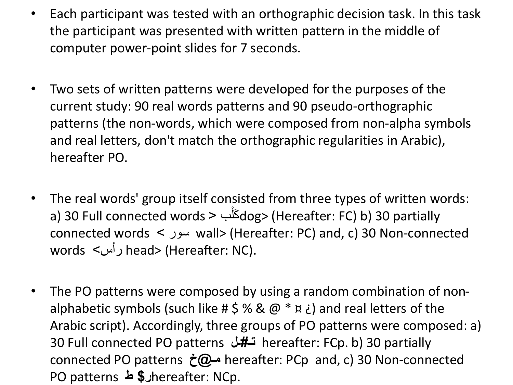- Each participant was tested with an orthographic decision task. In this task the participant was presented with written pattern in the middle of computer power-point slides for 7 seconds.
- Two sets of written patterns were developed for the purposes of the current study: 90 real words patterns and 90 pseudo-orthographic patterns (the non-words, which were composed from non-alpha symbols and real letters, don't match the orthographic regularities in Arabic), hereafter PO.
- The real words' group itself consisted from three types of written words: a) 30 Full connected words بْ > كلَ dog> (Hereafter: FC) b) 30 partially connected words > سور wall> (Hereafter: PC) and, c) 30 Non-connected words >رأس head> (Hereafter: NC).
- The PO patterns were composed by using a random combination of nonalphabetic symbols (such like #  $\frac{1}{2}$ % & @ \*  $\frac{1}{2}$ ) and real letters of the Arabic script). Accordingly, three groups of PO patterns were composed: a) 30 Full connected PO patterns **ـل#تـ** hereafter: FCp. b) 30 partially connected PO patterns **خ@مـ** hereafter: PCp and, c) 30 Non-connected PO patterns **ط \$ر**hereafter: NCp.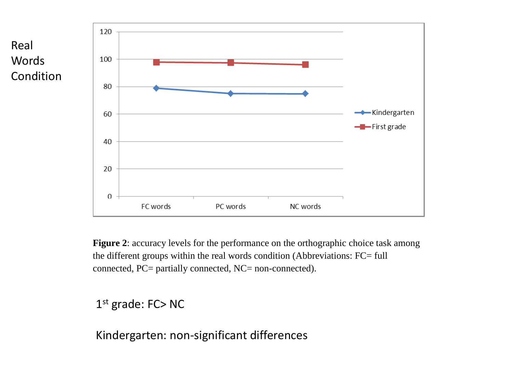

**Figure 2**: accuracy levels for the performance on the orthographic choice task among the different groups within the real words condition (Abbreviations: FC= full connected, PC= partially connected, NC= non-connected).

#### 1 st grade: FC> NC

Kindergarten: non-significant differences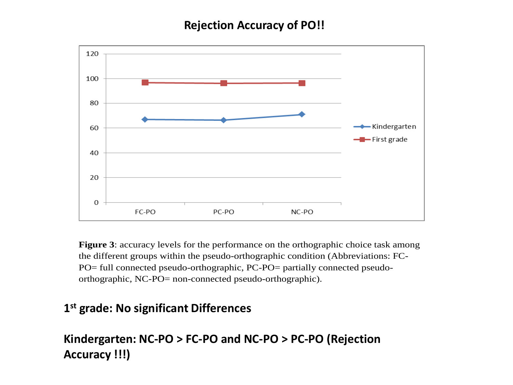#### **Rejection Accuracy of PO!!**



**Figure 3**: accuracy levels for the performance on the orthographic choice task among the different groups within the pseudo-orthographic condition (Abbreviations: FC-PO= full connected pseudo-orthographic, PC-PO= partially connected pseudoorthographic, NC-PO= non-connected pseudo-orthographic).

#### **1 st grade: No significant Differences**

#### **Kindergarten: NC-PO > FC-PO and NC-PO > PC-PO (Rejection Accuracy !!!)**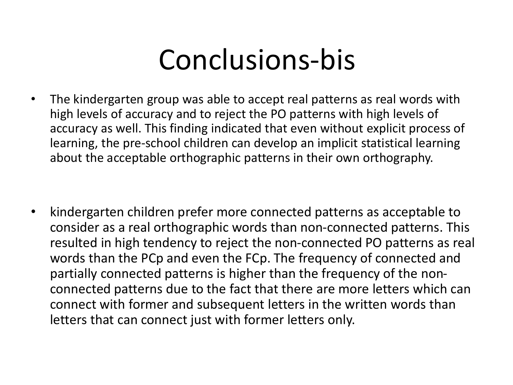## Conclusions-bis

• The kindergarten group was able to accept real patterns as real words with high levels of accuracy and to reject the PO patterns with high levels of accuracy as well. This finding indicated that even without explicit process of learning, the pre-school children can develop an implicit statistical learning about the acceptable orthographic patterns in their own orthography.

• kindergarten children prefer more connected patterns as acceptable to consider as a real orthographic words than non-connected patterns. This resulted in high tendency to reject the non-connected PO patterns as real words than the PCp and even the FCp. The frequency of connected and partially connected patterns is higher than the frequency of the nonconnected patterns due to the fact that there are more letters which can connect with former and subsequent letters in the written words than letters that can connect just with former letters only.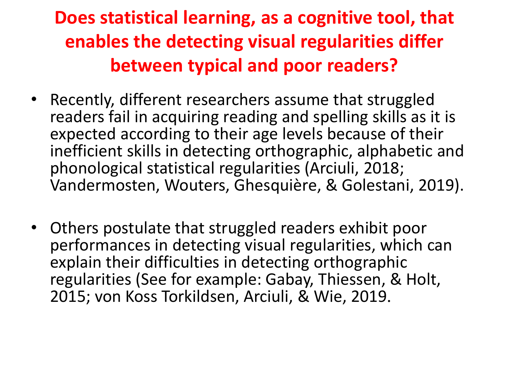#### **Does statistical learning, as a cognitive tool, that enables the detecting visual regularities differ between typical and poor readers?**

- Recently, different researchers assume that struggled readers fail in acquiring reading and spelling skills as it is expected according to their age levels because of their inefficient skills in detecting orthographic, alphabetic and phonological statistical regularities (Arciuli, 2018; Vandermosten, Wouters, Ghesquière, & Golestani, 2019).
- Others postulate that struggled readers exhibit poor performances in detecting visual regularities, which can explain their difficulties in detecting orthographic regularities (See for example: Gabay, Thiessen, & Holt, 2015; von Koss Torkildsen, Arciuli, & Wie, 2019.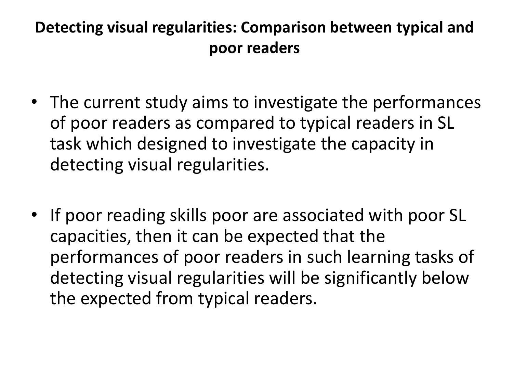#### **Detecting visual regularities: Comparison between typical and poor readers**

- The current study aims to investigate the performances of poor readers as compared to typical readers in SL task which designed to investigate the capacity in detecting visual regularities.
- If poor reading skills poor are associated with poor SL capacities, then it can be expected that the performances of poor readers in such learning tasks of detecting visual regularities will be significantly below the expected from typical readers.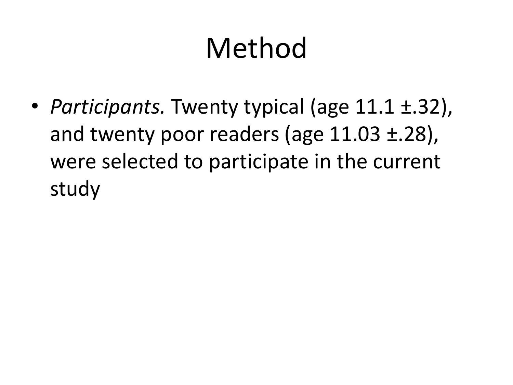# Method

• *Participants.* Twenty typical (age 11.1 ±.32), and twenty poor readers (age 11.03 ±.28), were selected to participate in the current study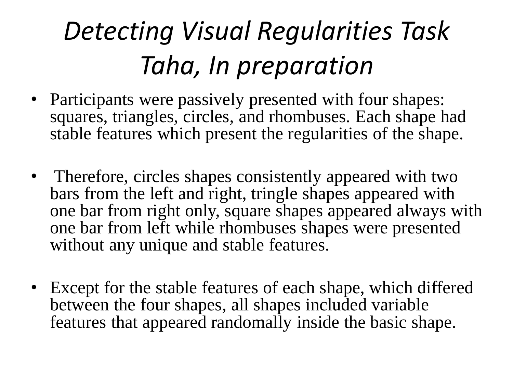## *Detecting Visual Regularities Task Taha, In preparation*

- Participants were passively presented with four shapes: squares, triangles, circles, and rhombuses. Each shape had stable features which present the regularities of the shape.
- Therefore, circles shapes consistently appeared with two bars from the left and right, tringle shapes appeared with one bar from right only, square shapes appeared always with one bar from left while rhombuses shapes were presented without any unique and stable features.
- Except for the stable features of each shape, which differed between the four shapes, all shapes included variable features that appeared randomally inside the basic shape.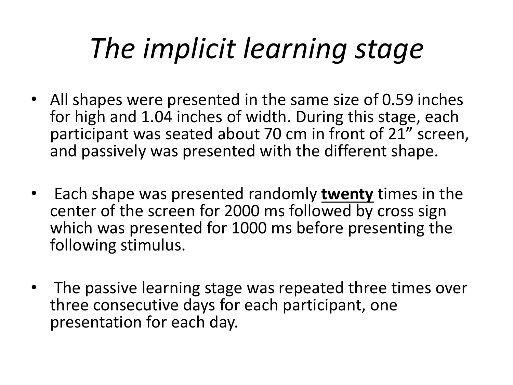# *The implicit learning stage*

- All shapes were presented in the same size of 0.59 inches for high and 1.04 inches of width. During this stage, each participant was seated about 70 cm in front of 21" screen, and passively was presented with the different shape.
- Each shape was presented randomly **twenty** times in the center of the screen for 2000 ms followed by cross sign which was presented for 1000 ms before presenting the following stimulus.
- The passive learning stage was repeated three times over three consecutive days for each participant, one presentation for each day.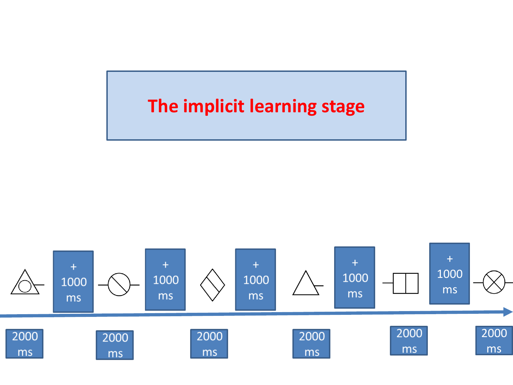#### **The implicit learning stage**

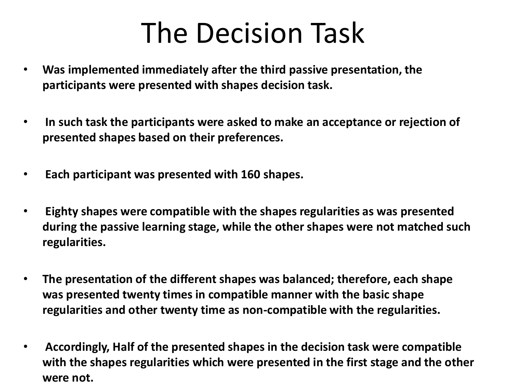## The Decision Task

- **Was implemented immediately after the third passive presentation, the participants were presented with shapes decision task.**
- **In such task the participants were asked to make an acceptance or rejection of presented shapes based on their preferences.**
- **Each participant was presented with 160 shapes.**
- **Eighty shapes were compatible with the shapes regularities as was presented during the passive learning stage, while the other shapes were not matched such regularities.**
- **The presentation of the different shapes was balanced; therefore, each shape was presented twenty times in compatible manner with the basic shape regularities and other twenty time as non-compatible with the regularities.**
- **Accordingly, Half of the presented shapes in the decision task were compatible with the shapes regularities which were presented in the first stage and the other were not.**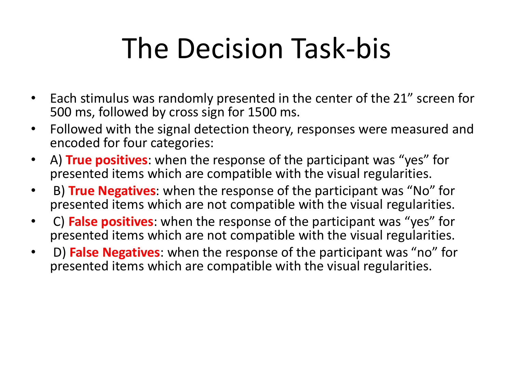# The Decision Task-bis

- Each stimulus was randomly presented in the center of the 21" screen for 500 ms, followed by cross sign for 1500 ms.
- Followed with the signal detection theory, responses were measured and encoded for four categories:
- A) **True positives**: when the response of the participant was "yes" for presented items which are compatible with the visual regularities.
- B) **True Negatives**: when the response of the participant was "No" for presented items which are not compatible with the visual regularities.
- C) **False positives**: when the response of the participant was "yes" for presented items which are not compatible with the visual regularities.
- D) **False Negatives**: when the response of the participant was "no" for presented items which are compatible with the visual regularities.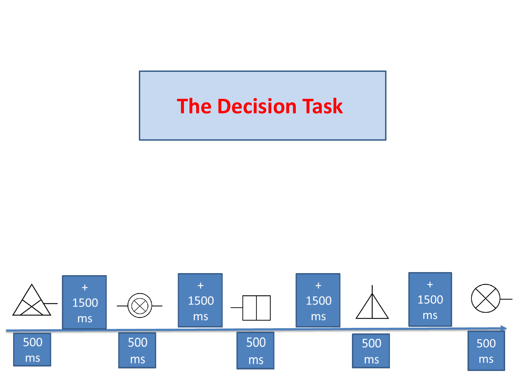#### **The Decision Task**

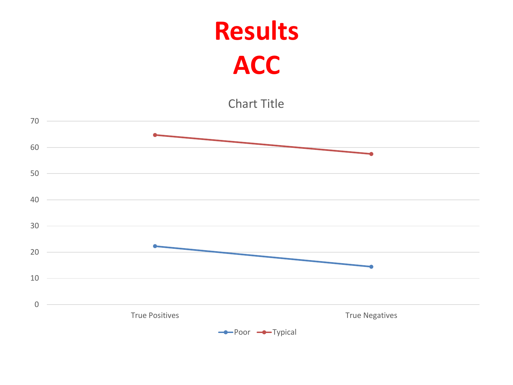### **Results ACC**

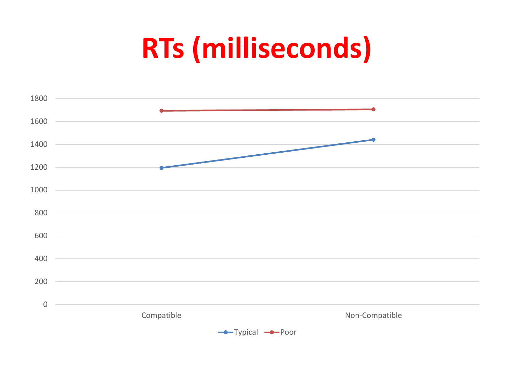# **RTs (milliseconds)**

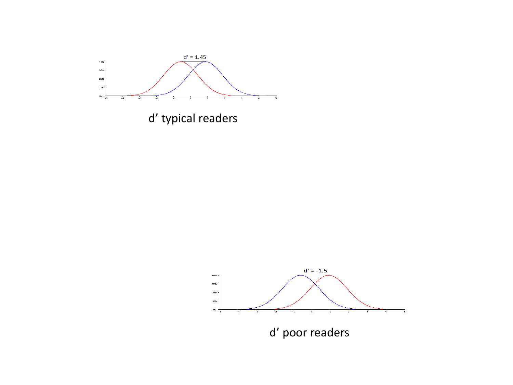

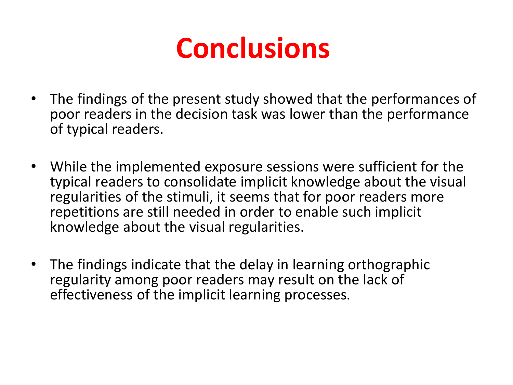

- The findings of the present study showed that the performances of poor readers in the decision task was lower than the performance of typical readers.
- While the implemented exposure sessions were sufficient for the typical readers to consolidate implicit knowledge about the visual regularities of the stimuli, it seems that for poor readers more repetitions are still needed in order to enable such implicit knowledge about the visual regularities.
- The findings indicate that the delay in learning orthographic regularity among poor readers may result on the lack of effectiveness of the implicit learning processes.